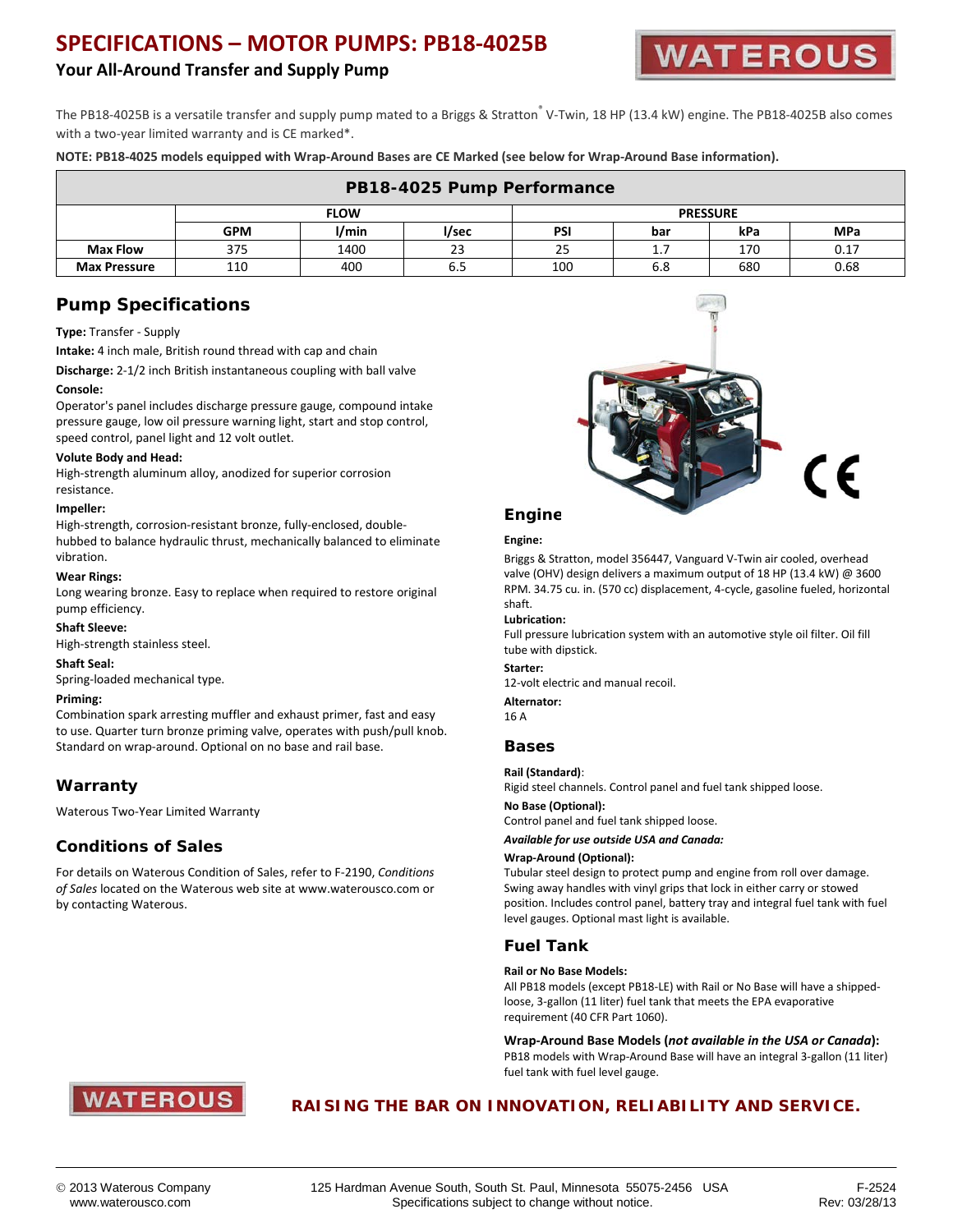# **SPECIFICATIONS – MOTOR PUMPS: PB18-4025B**

## **Your All-Around Transfer and Supply Pump**



The PB18-4025B is a versatile transfer and supply pump mated to a Briggs & Stratton<sup>®</sup> V-Twin, 18 HP (13.4 kW) engine. The PB18-4025B also comes with a two-year limited warranty and is CE marked\*.

**NOTE: PB18-4025 models equipped with Wrap-Around Bases are CE Marked (see below for Wrap-Around Base information).**

| PB18-4025 Pump Performance |             |       |       |                 |     |     |            |  |  |  |  |
|----------------------------|-------------|-------|-------|-----------------|-----|-----|------------|--|--|--|--|
|                            | <b>FLOW</b> |       |       | <b>PRESSURE</b> |     |     |            |  |  |  |  |
|                            | <b>GPM</b>  | I/min | l/sec | <b>PSI</b>      | bar | kPa | <b>MPa</b> |  |  |  |  |
| <b>Max Flow</b>            | 375         | 1400  | 23    | 25              | 1.7 | 170 | 0.17       |  |  |  |  |
| <b>Max Pressure</b>        | 110         | 400   |       | 100             | 6.8 | 680 | 0.68       |  |  |  |  |

## **Pump Specifications**

#### **Type:** Transfer - Supply

**Intake:** 4 inch male, British round thread with cap and chain

**Discharge:** 2-1/2 inch British instantaneous coupling with ball valve

#### **Console:**

Operator's panel includes discharge pressure gauge, compound intake pressure gauge, low oil pressure warning light, start and stop control, speed control, panel light and 12 volt outlet.

#### **Volute Body and Head:**

High-strength aluminum alloy, anodized for superior corrosion resistance.

#### **Impeller:**

High-strength, corrosion-resistant bronze, fully-enclosed, doublehubbed to balance hydraulic thrust, mechanically balanced to eliminate vibration.

#### **Wear Rings:**

Long wearing bronze. Easy to replace when required to restore original pump efficiency.

#### **Shaft Sleeve:**

High-strength stainless steel.

**Shaft Seal:**

Spring-loaded mechanical type.

#### **Priming:**

Combination spark arresting muffler and exhaust primer, fast and easy to use. Quarter turn bronze priming valve, operates with push/pull knob. Standard on wrap-around. Optional on no base and rail base.

## **Warranty**

Waterous Two-Year Limited Warranty

## **Conditions of Sales**

For details on Waterous Condition of Sales, refer to F-2190, *Conditions of Sales* located on the Waterous web site at www.waterousco.com or by contacting Waterous.



# **Engine**

#### **Engine:**

Briggs & Stratton, model 356447, Vanguard V-Twin air cooled, overhead valve (OHV) design delivers a maximum output of 18 HP (13.4 kW) @ 3600 RPM. 34.75 cu. in. (570 cc) displacement, 4-cycle, gasoline fueled, horizontal shaft.

#### **Lubrication:**

Full pressure lubrication system with an automotive style oil filter. Oil fill tube with dipstick.

#### **Starter:**

12-volt electric and manual recoil.

#### **Alternator:**

16 A

#### **Bases**

#### **Rail (Standard)**:

Rigid steel channels. Control panel and fuel tank shipped loose.

#### **No Base (Optional):**

Control panel and fuel tank shipped loose.

*Available for use outside USA and Canada:*

#### **Wrap-Around (Optional):**

Tubular steel design to protect pump and engine from roll over damage. Swing away handles with vinyl grips that lock in either carry or stowed position. Includes control panel, battery tray and integral fuel tank with fuel level gauges. Optional mast light is available.

### **Fuel Tank**

#### **Rail or No Base Models:**

All PB18 models (except PB18-LE) with Rail or No Base will have a shippedloose, 3-gallon (11 liter) fuel tank that meets the EPA evaporative requirement (40 CFR Part 1060).

**Wrap-Around Base Models (***not available in the USA or Canada***):** PB18 models with Wrap-Around Base will have an integral 3-gallon (11 liter) fuel tank with fuel level gauge.



## **RAISING THE BAR ON INNOVATION, RELIABILITY AND SERVICE.**